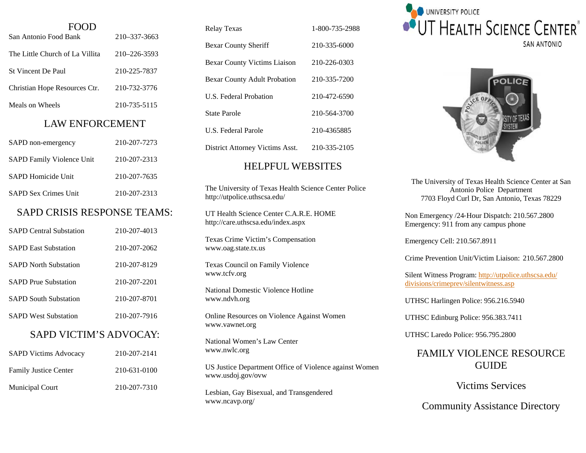| <b>FOOD</b><br>San Antonio Food Bank         | 210-337-3663 |  |
|----------------------------------------------|--------------|--|
| The Little Church of La Villita 210-226-3593 |              |  |
|                                              |              |  |
| St Vincent De Paul                           | 210-225-7837 |  |
| Christian Hope Resources Ctr. 210-732-3776   |              |  |
| Meals on Wheels                              | 210-735-5115 |  |
| <b>LAW ENFORCEMENT</b>                       |              |  |
| SAPD non-emergency                           | 210-207-7273 |  |
| SAPD Family Violence Unit 210-207-2313       |              |  |
| <b>SAPD Homicide Unit</b>                    | 210-207-7635 |  |
| <b>SAPD Sex Crimes Unit</b>                  | 210-207-2313 |  |
| <b>SAPD CRISIS RESPONSE TEAMS:</b>           |              |  |
| <b>SAPD Central Substation</b>               | 210-207-4013 |  |
| <b>SAPD East Substation</b>                  | 210-207-2062 |  |
| <b>SAPD North Substation</b>                 | 210-207-8129 |  |
| <b>SAPD Prue Substation</b>                  | 210-207-2201 |  |
| <b>SAPD South Substation</b>                 | 210-207-8701 |  |
| <b>SAPD West Substation</b>                  | 210-207-7916 |  |
| <b>SAPD VICTIM'S ADVOCAY:</b>                |              |  |
| <b>SAPD Victims Advocacy</b>                 | 210-207-2141 |  |
| <b>Family Justice Center</b>                 | 210-631-0100 |  |
| Municipal Court                              | 210-207-7310 |  |

| 1-800-735-2988 |
|----------------|
| 210-335-6000   |
| 210-226-0303   |
| 210-335-7200   |
| 210-472-6590   |
| 210-564-3700   |
| 210-4365885    |
| 210-335-2105   |
|                |

### HELPFUL WEBSITES

The University of Texas Health Science Center Police http://utpolice.uthscsa.edu/

UT Health Science Center C.A.R.E. HOME http://care.uthscsa.edu/index.aspx

Texas Crime Victim's Compensation www.oag.state.tx.us

Texas Council on Family Violence www.tcfv.org

National Domestic Violence Hotline www.ndvh.org

Online Resources on Violence Against Women www.vawnet.org

National Women's Law Center www.nwlc.org

US Justice Department Office of Violence against Women www.usdoj.gov/ovw

Lesbian, Gay Bisexual, and Transgendered www.ncavp.org/



POLIC

The University of Texas Health Science Center at San Antonio Police Department 7703 Floyd Curl Dr, San Antonio, Texas 78229

Non Emergency /24‐Hour Dispatch: 210.567.2800 Emergency: 911 from any campus phone

Emergency Cell: 210.567.8911

Crime Prevention Unit/Victim Liaison: 210.567.2800

Silent Witness Program: http://utpolice.uthscsa.edu/ divisions/crimeprev/silentwitness.asp

UTHSC Harlingen Police: 956.216.5940

UTHSC Edinburg Police: 956.383.7411

UTHSC Laredo Police: 956.795.2800

# FAMILY VIOLENCE RESOURCE GUIDE

Victims Services

Community Assistance Directory